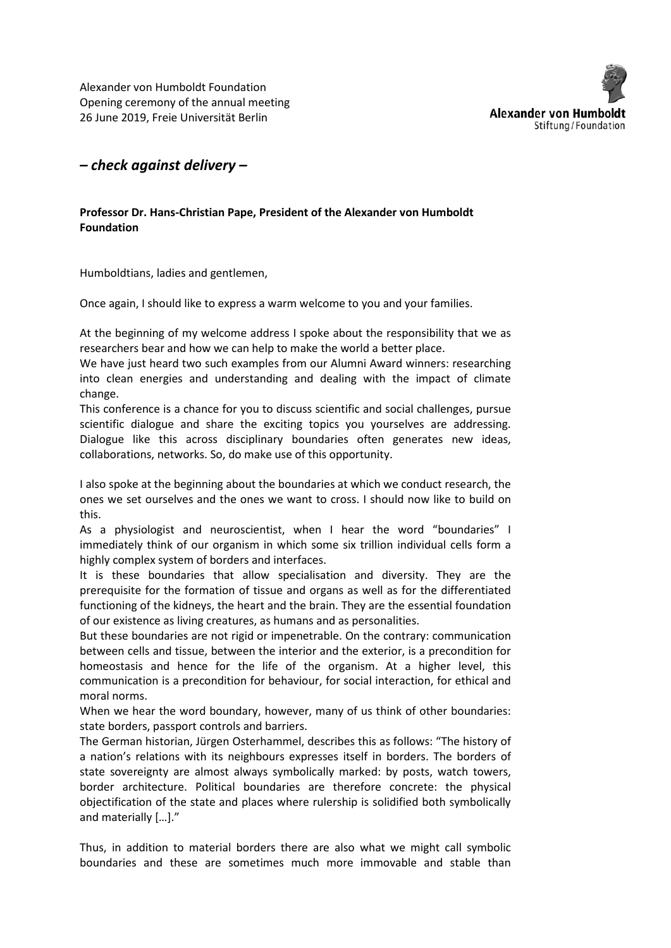Alexander von Humboldt Foundation Opening ceremony of the annual meeting 26 June 2019, Freie Universität Berlin



## *– check against delivery –*

## **Professor Dr. Hans-Christian Pape, President of the Alexander von Humboldt Foundation**

Humboldtians, ladies and gentlemen,

Once again, I should like to express a warm welcome to you and your families.

At the beginning of my welcome address I spoke about the responsibility that we as researchers bear and how we can help to make the world a better place.

We have just heard two such examples from our Alumni Award winners: researching into clean energies and understanding and dealing with the impact of climate change.

This conference is a chance for you to discuss scientific and social challenges, pursue scientific dialogue and share the exciting topics you yourselves are addressing. Dialogue like this across disciplinary boundaries often generates new ideas, collaborations, networks. So, do make use of this opportunity.

I also spoke at the beginning about the boundaries at which we conduct research, the ones we set ourselves and the ones we want to cross. I should now like to build on this.

As a physiologist and neuroscientist, when I hear the word "boundaries" I immediately think of our organism in which some six trillion individual cells form a highly complex system of borders and interfaces.

It is these boundaries that allow specialisation and diversity. They are the prerequisite for the formation of tissue and organs as well as for the differentiated functioning of the kidneys, the heart and the brain. They are the essential foundation of our existence as living creatures, as humans and as personalities.

But these boundaries are not rigid or impenetrable. On the contrary: communication between cells and tissue, between the interior and the exterior, is a precondition for homeostasis and hence for the life of the organism. At a higher level, this communication is a precondition for behaviour, for social interaction, for ethical and moral norms.

When we hear the word boundary, however, many of us think of other boundaries: state borders, passport controls and barriers.

The German historian, Jürgen Osterhammel, describes this as follows: "The history of a nation's relations with its neighbours expresses itself in borders. The borders of state sovereignty are almost always symbolically marked: by posts, watch towers, border architecture. Political boundaries are therefore concrete: the physical objectification of the state and places where rulership is solidified both symbolically and materially […]."

Thus, in addition to material borders there are also what we might call symbolic boundaries and these are sometimes much more immovable and stable than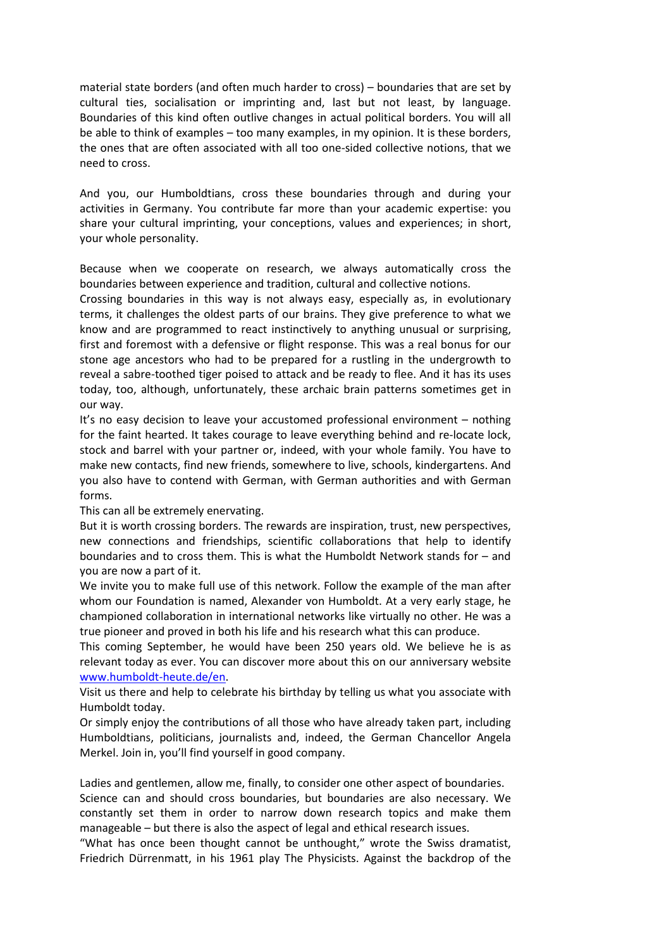material state borders (and often much harder to cross) – boundaries that are set by cultural ties, socialisation or imprinting and, last but not least, by language. Boundaries of this kind often outlive changes in actual political borders. You will all be able to think of examples – too many examples, in my opinion. It is these borders, the ones that are often associated with all too one-sided collective notions, that we need to cross.

And you, our Humboldtians, cross these boundaries through and during your activities in Germany. You contribute far more than your academic expertise: you share your cultural imprinting, your conceptions, values and experiences; in short, your whole personality.

Because when we cooperate on research, we always automatically cross the boundaries between experience and tradition, cultural and collective notions.

Crossing boundaries in this way is not always easy, especially as, in evolutionary terms, it challenges the oldest parts of our brains. They give preference to what we know and are programmed to react instinctively to anything unusual or surprising, first and foremost with a defensive or flight response. This was a real bonus for our stone age ancestors who had to be prepared for a rustling in the undergrowth to reveal a sabre-toothed tiger poised to attack and be ready to flee. And it has its uses today, too, although, unfortunately, these archaic brain patterns sometimes get in our way.

It's no easy decision to leave your accustomed professional environment – nothing for the faint hearted. It takes courage to leave everything behind and re-locate lock, stock and barrel with your partner or, indeed, with your whole family. You have to make new contacts, find new friends, somewhere to live, schools, kindergartens. And you also have to contend with German, with German authorities and with German forms.

This can all be extremely enervating.

But it is worth crossing borders. The rewards are inspiration, trust, new perspectives, new connections and friendships, scientific collaborations that help to identify boundaries and to cross them. This is what the Humboldt Network stands for – and you are now a part of it.

We invite you to make full use of this network. Follow the example of the man after whom our Foundation is named, Alexander von Humboldt. At a very early stage, he championed collaboration in international networks like virtually no other. He was a true pioneer and proved in both his life and his research what this can produce.

This coming September, he would have been 250 years old. We believe he is as relevant today as ever. You can discover more about this on our anniversary website www.humboldt-heute.de/en.

Visit us there and help to celebrate his birthday by telling us what you associate with Humboldt today.

Or simply enjoy the contributions of all those who have already taken part, including Humboldtians, politicians, journalists and, indeed, the German Chancellor Angela Merkel. Join in, you'll find yourself in good company.

Ladies and gentlemen, allow me, finally, to consider one other aspect of boundaries. Science can and should cross boundaries, but boundaries are also necessary. We constantly set them in order to narrow down research topics and make them manageable – but there is also the aspect of legal and ethical research issues.

"What has once been thought cannot be unthought," wrote the Swiss dramatist, Friedrich Dürrenmatt, in his 1961 play The Physicists. Against the backdrop of the